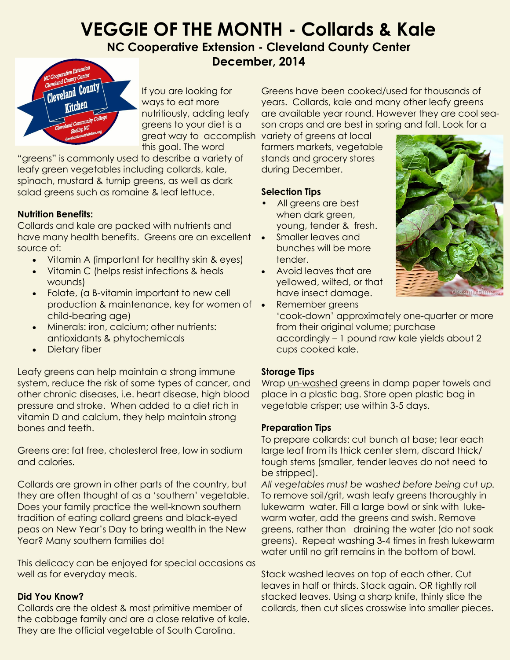# **VEGGIE OF THE MONTH - Collards & Kale**

## **NC Cooperative Extension - Cleveland County Center December, 2014**



If you are looking for ways to eat more nutritiously, adding leafy greens to your diet is a this goal. The word

"greens" is commonly used to describe a variety of leafy green vegetables including collards, kale, spinach, mustard & turnip greens, as well as dark salad greens such as romaine & leaf lettuce.

## **Nutrition Benefits:**

Collards and kale are packed with nutrients and have many health benefits. Greens are an excellent source of:

- Vitamin A (important for healthy skin & eyes)
- Vitamin C (helps resist infections & heals wounds)
- Folate, (a B-vitamin important to new cell production & maintenance, key for women of • child-bearing age)
- Minerals: iron, calcium; other nutrients: antioxidants & phytochemicals
- Dietary fiber

Leafy greens can help maintain a strong immune system, reduce the risk of some types of cancer, and other chronic diseases, i.e. heart disease, high blood pressure and stroke. When added to a diet rich in vitamin D and calcium, they help maintain strong bones and teeth.

Greens are: fat free, cholesterol free, low in sodium and calories.

Collards are grown in other parts of the country, but they are often thought of as a 'southern' vegetable. Does your family practice the well-known southern tradition of eating collard greens and black-eyed peas on New Year's Day to bring wealth in the New Year? Many southern families do!

This delicacy can be enjoyed for special occasions as well as for everyday meals.

#### **Did You Know?**

Collards are the oldest & most primitive member of the cabbage family and are a close relative of kale. They are the official vegetable of South Carolina.

Greens have been cooked/used for thousands of years. Collards, kale and many other leafy greens are available year round. However they are cool season crops and are best in spring and fall. Look for a

great way to accomplish variety of greens at local farmers markets, vegetable stands and grocery stores during December.

## **Selection Tips**

- All greens are best when dark green, young, tender & fresh.
- Smaller leaves and bunches will be more tender.
- Avoid leaves that are yellowed, wilted, or that have insect damage.



 Remember greens 'cook-down' approximately one-quarter or more from their original volume; purchase accordingly – 1 pound raw kale yields about 2 cups cooked kale.

#### **Storage Tips**

Wrap un-washed greens in damp paper towels and place in a plastic bag. Store open plastic bag in vegetable crisper; use within 3-5 days.

#### **Preparation Tips**

To prepare collards: cut bunch at base; tear each large leaf from its thick center stem, discard thick/ tough stems (smaller, tender leaves do not need to be stripped).

*All vegetables must be washed before being cut up.* To remove soil/grit, wash leafy greens thoroughly in lukewarm water. Fill a large bowl or sink with lukewarm water, add the greens and swish. Remove greens, rather than draining the water (do not soak greens). Repeat washing 3-4 times in fresh lukewarm water until no grit remains in the bottom of bowl.

Stack washed leaves on top of each other. Cut leaves in half or thirds. Stack again. OR tightly roll stacked leaves. Using a sharp knife, thinly slice the collards, then cut slices crosswise into smaller pieces.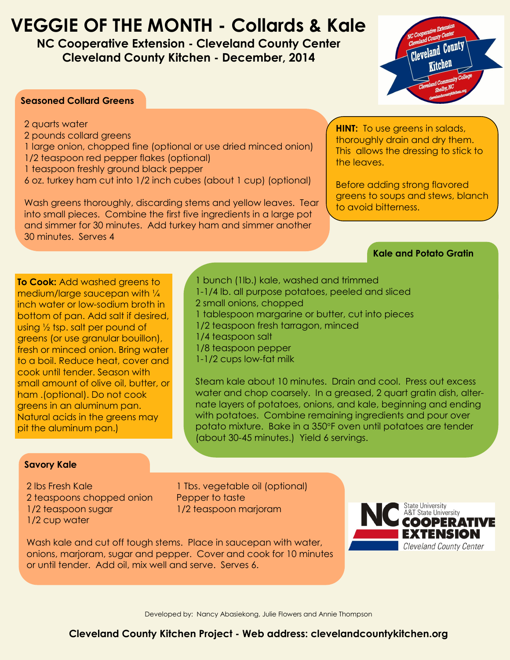## **VEGGIE OF THE MONTH - Collards & Kale**

**NC Cooperative Extension - Cleveland County Center Cleveland County Kitchen - December, 2014**



#### **Seasoned Collard Greens**

- 2 quarts water
- 2 pounds collard greens
- 1 large onion, chopped fine (optional or use dried minced onion)
- 1/2 teaspoon red pepper flakes (optional)
- 1 teaspoon freshly ground black pepper
- 6 oz. turkey ham cut into 1/2 inch cubes (about 1 cup) (optional)

Wash greens thoroughly, discarding stems and yellow leaves. Tear into small pieces. Combine the first five ingredients in a large pot and simmer for 30 minutes. Add turkey ham and simmer another 30 minutes. Serves 4

**HINT:** To use greens in salads, thoroughly drain and dry them. This allows the dressing to stick to the leaves.

Before adding strong flavored greens to soups and stews, blanch to avoid bitterness.

### **Kale and Potato Gratin**

**To Cook:** Add washed greens to medium/large saucepan with ¼ inch water or low-sodium broth in bottom of pan. Add salt if desired, using ½ tsp. salt per pound of greens (or use granular bouillon), fresh or minced onion. Bring water to a boil. Reduce heat, cover and cook until tender. Season with small amount of olive oil, butter, or ham .(optional). Do not cook greens in an aluminum pan. Natural acids in the greens may pit the aluminum pan.)

1 bunch (1lb.) kale, washed and trimmed 1-1/4 lb. all purpose potatoes, peeled and sliced 2 small onions, chopped 1 tablespoon margarine or butter, cut into pieces 1/2 teaspoon fresh tarragon, minced 1/4 teaspoon salt 1/8 teaspoon pepper 1-1/2 cups low-fat milk

Steam kale about 10 minutes. Drain and cool. Press out excess water and chop coarsely. In a greased, 2 quart gratin dish, alternate layers of potatoes, onions, and kale, beginning and ending with potatoes. Combine remaining ingredients and pour over potato mixture. Bake in a 350°F oven until potatoes are tender (about 30-45 minutes.) Yield 6 servings.

#### **Savory Kale**

2 lbs Fresh Kale 1 Tbs. vegetable oil (optional) 2 teaspoons chopped onion Pepper to taste 1/2 teaspoon sugar 1/2 teaspoon marjoram 1/2 cup water



Wash kale and cut off tough stems. Place in saucepan with water, onions, marjoram, sugar and pepper. Cover and cook for 10 minutes or until tender. Add oil, mix well and serve. Serves 6.

Developed by: Nancy Abasiekong, Julie Flowers and Annie Thompson

## **Cleveland County Kitchen Project - Web address: clevelandcountykitchen.org**